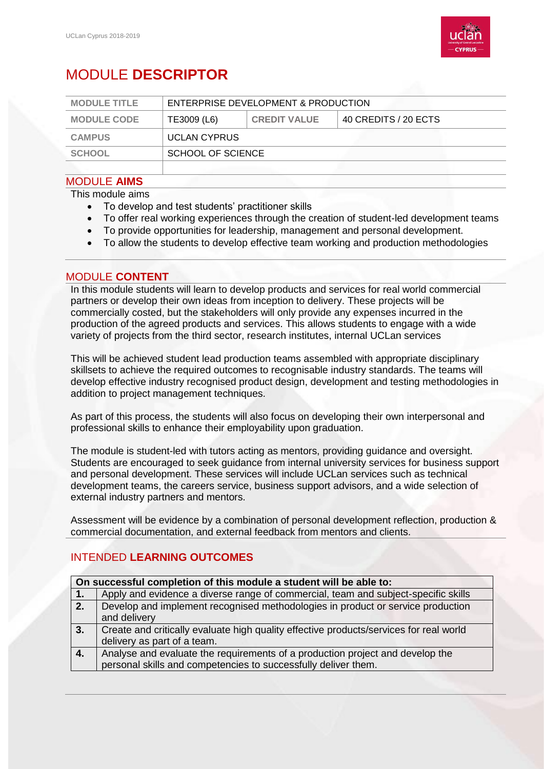

# MODULE **DESCRIPTOR**

| <b>MODULE TITLE</b> | ENTERPRISE DEVELOPMENT & PRODUCTION |                     |                      |
|---------------------|-------------------------------------|---------------------|----------------------|
| <b>MODULE CODE</b>  | TE3009 (L6)                         | <b>CREDIT VALUE</b> | 40 CREDITS / 20 ECTS |
| <b>CAMPUS</b>       | <b>UCLAN CYPRUS</b>                 |                     |                      |
| <b>SCHOOL</b>       | <b>SCHOOL OF SCIENCE</b>            |                     |                      |
|                     |                                     |                     |                      |

#### MODULE **AIMS**

This module aims

- To develop and test students' practitioner skills
- To offer real working experiences through the creation of student-led development teams
- To provide opportunities for leadership, management and personal development.
- To allow the students to develop effective team working and production methodologies

#### MODULE **CONTENT**

In this module students will learn to develop products and services for real world commercial partners or develop their own ideas from inception to delivery. These projects will be commercially costed, but the stakeholders will only provide any expenses incurred in the production of the agreed products and services. This allows students to engage with a wide variety of projects from the third sector, research institutes, internal UCLan services

This will be achieved student lead production teams assembled with appropriate disciplinary skillsets to achieve the required outcomes to recognisable industry standards. The teams will develop effective industry recognised product design, development and testing methodologies in addition to project management techniques.

As part of this process, the students will also focus on developing their own interpersonal and professional skills to enhance their employability upon graduation.

The module is student-led with tutors acting as mentors, providing guidance and oversight. Students are encouraged to seek guidance from internal university services for business support and personal development. These services will include UCLan services such as technical development teams, the careers service, business support advisors, and a wide selection of external industry partners and mentors.

Assessment will be evidence by a combination of personal development reflection, production & commercial documentation, and external feedback from mentors and clients.

## INTENDED **LEARNING OUTCOMES**

| On successful completion of this module a student will be able to: |                                                                                        |  |
|--------------------------------------------------------------------|----------------------------------------------------------------------------------------|--|
| 1.                                                                 | Apply and evidence a diverse range of commercial, team and subject-specific skills     |  |
| 2.7                                                                | Develop and implement recognised methodologies in product or service production        |  |
|                                                                    | and delivery                                                                           |  |
| 3.                                                                 | Create and critically evaluate high quality effective products/services for real world |  |
|                                                                    | delivery as part of a team.                                                            |  |
| $\vert 4.$                                                         | Analyse and evaluate the requirements of a production project and develop the          |  |
|                                                                    | personal skills and competencies to successfully deliver them.                         |  |